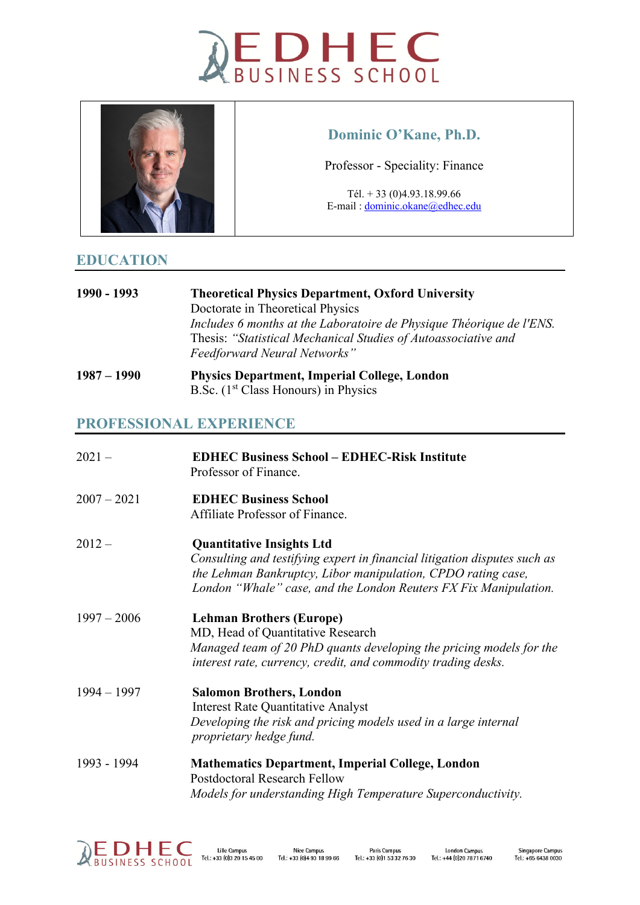



## **Dominic O'Kane, Ph.D.**

Professor - Speciality: Finance

Tél. + 33 (0)4.93.18.99.66 E-mail : [dominic.okane@edhec.edu](mailto:dominic.okane@edhec.edu)

## **EDUCATION**

- **1990 - 1993 Theoretical Physics Department, Oxford University** Doctorate in Theoretical Physics *Includes 6 months at the Laboratoire de Physique Théorique de l'ENS.*  Thesis: *"Statistical Mechanical Studies of Autoassociative and Feedforward Neural Networks"*
- **1987 – 1990 Physics Department, Imperial College, London** B.Sc. (1<sup>st</sup> Class Honours) in Physics

## **PROFESSIONAL EXPERIENCE**

| $2021 -$      | <b>EDHEC Business School - EDHEC-Risk Institute</b><br>Professor of Finance.                                                                                                                                                                      |
|---------------|---------------------------------------------------------------------------------------------------------------------------------------------------------------------------------------------------------------------------------------------------|
| $2007 - 2021$ | <b>EDHEC Business School</b><br>Affiliate Professor of Finance.                                                                                                                                                                                   |
| $2012 -$      | <b>Quantitative Insights Ltd</b><br>Consulting and testifying expert in financial litigation disputes such as<br>the Lehman Bankruptcy, Libor manipulation, CPDO rating case,<br>London "Whale" case, and the London Reuters FX Fix Manipulation. |
| $1997 - 2006$ | <b>Lehman Brothers (Europe)</b><br>MD, Head of Quantitative Research<br>Managed team of 20 PhD quants developing the pricing models for the<br>interest rate, currency, credit, and commodity trading desks.                                      |
| $1994 - 1997$ | <b>Salomon Brothers, London</b><br><b>Interest Rate Quantitative Analyst</b><br>Developing the risk and pricing models used in a large internal<br>proprietary hedge fund.                                                                        |
| 1993 - 1994   | <b>Mathematics Department, Imperial College, London</b><br><b>Postdoctoral Research Fellow</b><br>Models for understanding High Temperature Superconductivity.                                                                                    |

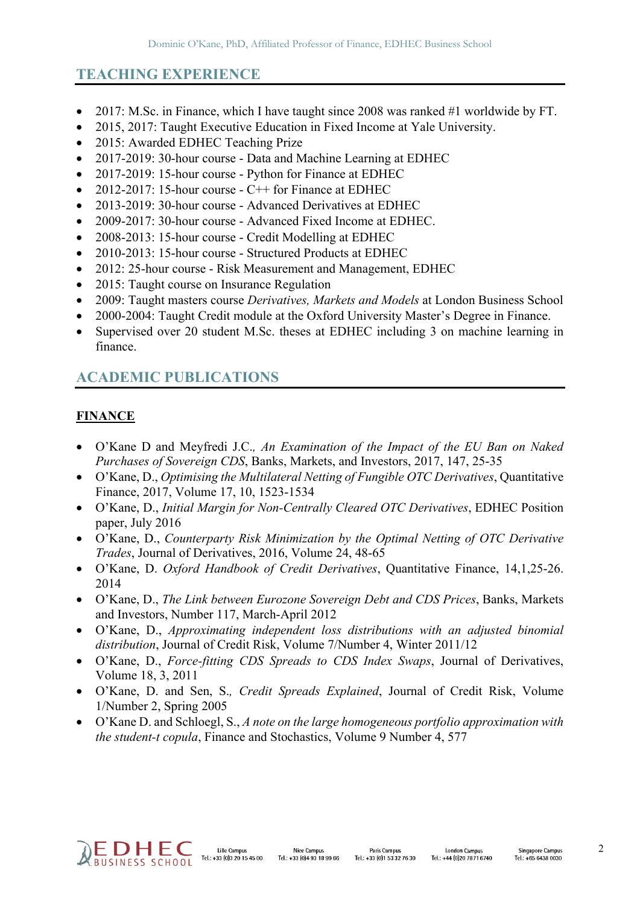# **TEACHING EXPERIENCE**

- 2017: M.Sc. in Finance, which I have taught since 2008 was ranked #1 worldwide by FT.
- 2015, 2017: Taught Executive Education in Fixed Income at Yale University.
- 2015: Awarded EDHEC Teaching Prize
- 2017-2019: 30-hour course Data and Machine Learning at EDHEC
- 2017-2019: 15-hour course Python for Finance at EDHEC
- 2012-2017: 15-hour course  $C++$  for Finance at EDHEC
- 2013-2019: 30-hour course Advanced Derivatives at EDHEC
- 2009-2017: 30-hour course Advanced Fixed Income at EDHEC.
- 2008-2013: 15-hour course Credit Modelling at EDHEC
- 2010-2013: 15-hour course Structured Products at EDHEC
- 2012: 25-hour course Risk Measurement and Management, EDHEC
- 2015: Taught course on Insurance Regulation
- 2009: Taught masters course *Derivatives, Markets and Models* at London Business School
- 2000-2004: Taught Credit module at the Oxford University Master's Degree in Finance.
- Supervised over 20 student M.Sc. theses at EDHEC including 3 on machine learning in finance.

# **ACADEMIC PUBLICATIONS**

#### **FINANCE**

- O'Kane D and Meyfredi J.C.*, An Examination of the Impact of the EU Ban on Naked Purchases of Sovereign CDS*, Banks, Markets, and Investors, 2017, 147, 25-35
- O'Kane, D., *Optimising the Multilateral Netting of Fungible OTC Derivatives*, Quantitative Finance, 2017, Volume 17, 10, 1523-1534
- O'Kane, D., *Initial Margin for Non-Centrally Cleared OTC Derivatives*, EDHEC Position paper, July 2016
- O'Kane, D., *Counterparty Risk Minimization by the Optimal Netting of OTC Derivative Trades*, Journal of Derivatives, 2016, Volume 24, 48-65
- O'Kane, D. *Oxford Handbook of Credit Derivatives*, Quantitative Finance, 14,1,25-26. 2014
- O'Kane, D., *The Link between Eurozone Sovereign Debt and CDS Prices*, Banks, Markets and Investors, Number 117, March-April 2012
- O'Kane, D., *Approximating independent loss distributions with an adjusted binomial distribution*, Journal of Credit Risk, Volume 7/Number 4, Winter 2011/12
- O'Kane, D., *Force-fitting CDS Spreads to CDS Index Swaps*, Journal of Derivatives, Volume 18, 3, 2011
- O'Kane, D. and Sen, S.*, Credit Spreads Explained*, Journal of Credit Risk, Volume 1/Number 2, Spring 2005
- O'Kane D. and Schloegl, S., *A note on the large homogeneous portfolio approximation with the student-t copula*, Finance and Stochastics, Volume 9 Number 4, 577

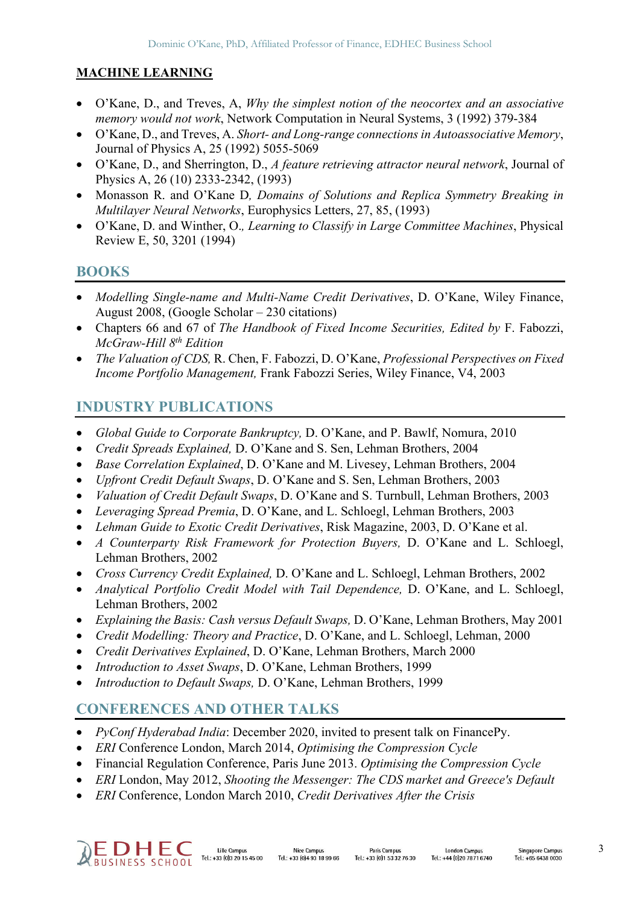#### **MACHINE LEARNING**

- O'Kane, D., and Treves, A, *Why the simplest notion of the neocortex and an associative memory would not work*, Network Computation in Neural Systems, 3 (1992) 379-384
- O'Kane, D., and Treves, A. *Short- and Long-range connections in Autoassociative Memory*, Journal of Physics A, 25 (1992) 5055-5069
- O'Kane, D., and Sherrington, D., *A feature retrieving attractor neural network*, Journal of Physics A, 26 (10) 2333-2342, (1993)
- Monasson R. and O'Kane D*, Domains of Solutions and Replica Symmetry Breaking in Multilayer Neural Networks*, Europhysics Letters, 27, 85, (1993)
- O'Kane, D. and Winther, O.*, Learning to Classify in Large Committee Machines*, Physical Review E, 50, 3201 (1994)

## **BOOKS**

- *Modelling Single-name and Multi-Name Credit Derivatives*, D. O'Kane, Wiley Finance, August 2008, (Google Scholar – 230 citations)
- Chapters 66 and 67 of *The Handbook of Fixed Income Securities, Edited by* F. Fabozzi, *McGraw-Hill 8th Edition*
- *The Valuation of CDS,* R. Chen, F. Fabozzi, D. O'Kane, *Professional Perspectives on Fixed Income Portfolio Management,* Frank Fabozzi Series, Wiley Finance, V4, 2003

# **INDUSTRY PUBLICATIONS**

- *Global Guide to Corporate Bankruptcy,* D. O'Kane, and P. Bawlf, Nomura, 2010
- *Credit Spreads Explained,* D. O'Kane and S. Sen, Lehman Brothers, 2004
- *Base Correlation Explained*, D. O'Kane and M. Livesey, Lehman Brothers, 2004
- *Upfront Credit Default Swaps*, D. O'Kane and S. Sen, Lehman Brothers, 2003
- *Valuation of Credit Default Swaps*, D. O'Kane and S. Turnbull, Lehman Brothers, 2003
- *Leveraging Spread Premia*, D. O'Kane, and L. Schloegl, Lehman Brothers, 2003
- *Lehman Guide to Exotic Credit Derivatives*, Risk Magazine, 2003, D. O'Kane et al.
- *A Counterparty Risk Framework for Protection Buyers,* D. O'Kane and L. Schloegl, Lehman Brothers, 2002
- *Cross Currency Credit Explained,* D. O'Kane and L. Schloegl, Lehman Brothers, 2002
- *Analytical Portfolio Credit Model with Tail Dependence,* D. O'Kane, and L. Schloegl, Lehman Brothers, 2002
- *Explaining the Basis: Cash versus Default Swaps,* D. O'Kane, Lehman Brothers, May 2001
- *Credit Modelling: Theory and Practice*, D. O'Kane, and L. Schloegl, Lehman, 2000
- *Credit Derivatives Explained*, D. O'Kane, Lehman Brothers, March 2000
- *Introduction to Asset Swaps*, D. O'Kane, Lehman Brothers, 1999
- *Introduction to Default Swaps,* D. O'Kane, Lehman Brothers, 1999

# **CONFERENCES AND OTHER TALKS**

- *PyConf Hyderabad India*: December 2020, invited to present talk on FinancePy.
- *ERI* Conference London, March 2014, *Optimising the Compression Cycle*
- Financial Regulation Conference, Paris June 2013. *Optimising the Compression Cycle*
- *ERI* London, May 2012, *Shooting the Messenger: The CDS market and Greece's Default*
- *ERI* Conference, London March 2010, *Credit Derivatives After the Crisis*